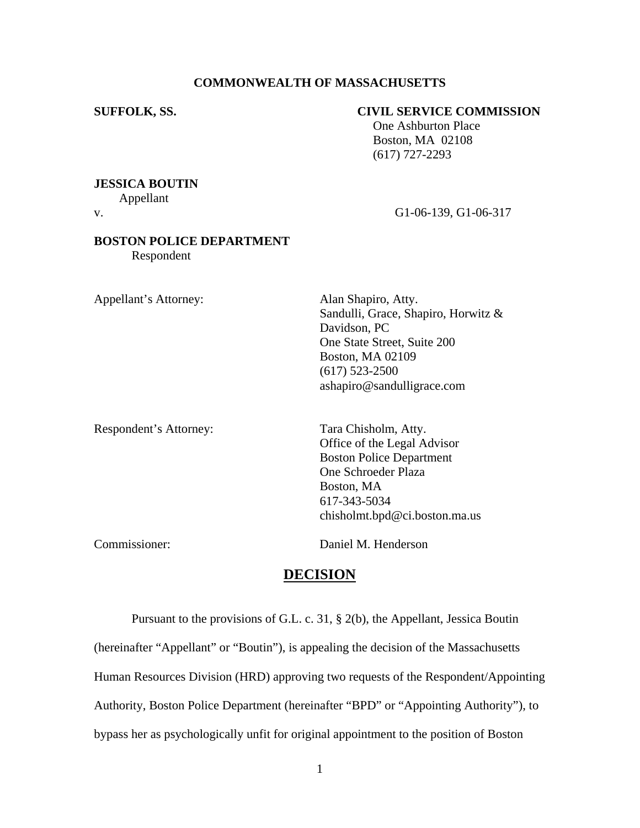# **COMMONWEALTH OF MASSACHUSETTS**

# **SUFFOLK, SS. CIVIL SERVICE COMMISSION**

 One Ashburton Place Boston, MA 02108 (617) 727-2293

## **JESSICA BOUTIN**

Appellant

v. G1-06-139, G1-06-317

# **BOSTON POLICE DEPARTMENT**

Respondent

Appellant's Attorney: Alan Shapiro, Atty.

Sandulli, Grace, Shapiro, Horwitz & Davidson, PC One State Street, Suite 200 Boston, MA 02109 (617) 523-2500 ashapiro@sandulligrace.com

Respondent's Attorney: Tara Chisholm, Atty.

Office of the Legal Advisor Boston Police Department One Schroeder Plaza Boston, MA 617-343-5034 chisholmt.bpd@ci.boston.ma.us

Commissioner: Daniel M. Henderson

# **DECISION**

Pursuant to the provisions of G.L. c. 31, § 2(b), the Appellant, Jessica Boutin (hereinafter "Appellant" or "Boutin"), is appealing the decision of the Massachusetts Human Resources Division (HRD) approving two requests of the Respondent/Appointing Authority, Boston Police Department (hereinafter "BPD" or "Appointing Authority"), to bypass her as psychologically unfit for original appointment to the position of Boston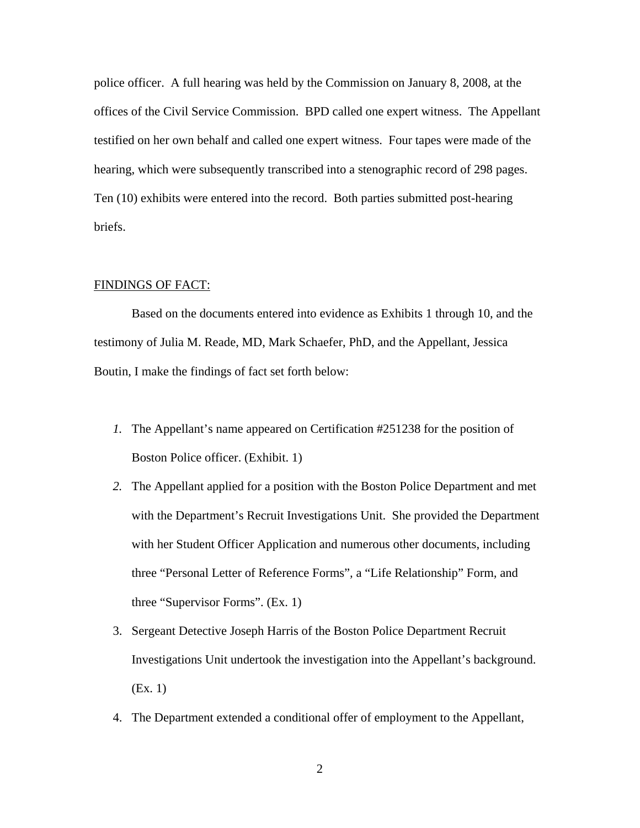police officer. A full hearing was held by the Commission on January 8, 2008, at the offices of the Civil Service Commission. BPD called one expert witness. The Appellant testified on her own behalf and called one expert witness. Four tapes were made of the hearing, which were subsequently transcribed into a stenographic record of 298 pages. Ten (10) exhibits were entered into the record. Both parties submitted post-hearing briefs.

### FINDINGS OF FACT:

 Based on the documents entered into evidence as Exhibits 1 through 10, and the testimony of Julia M. Reade, MD, Mark Schaefer, PhD, and the Appellant, Jessica Boutin, I make the findings of fact set forth below:

- *1.* The Appellant's name appeared on Certification #251238 for the position of Boston Police officer. (Exhibit. 1)
- *2.* The Appellant applied for a position with the Boston Police Department and met with the Department's Recruit Investigations Unit. She provided the Department with her Student Officer Application and numerous other documents, including three "Personal Letter of Reference Forms"*,* a "Life Relationship" Form*,* and three "Supervisor Forms". (Ex. 1)
- 3. Sergeant Detective Joseph Harris of the Boston Police Department Recruit Investigations Unit undertook the investigation into the Appellant's background. (Ex. 1)
- 4. The Department extended a conditional offer of employment to the Appellant,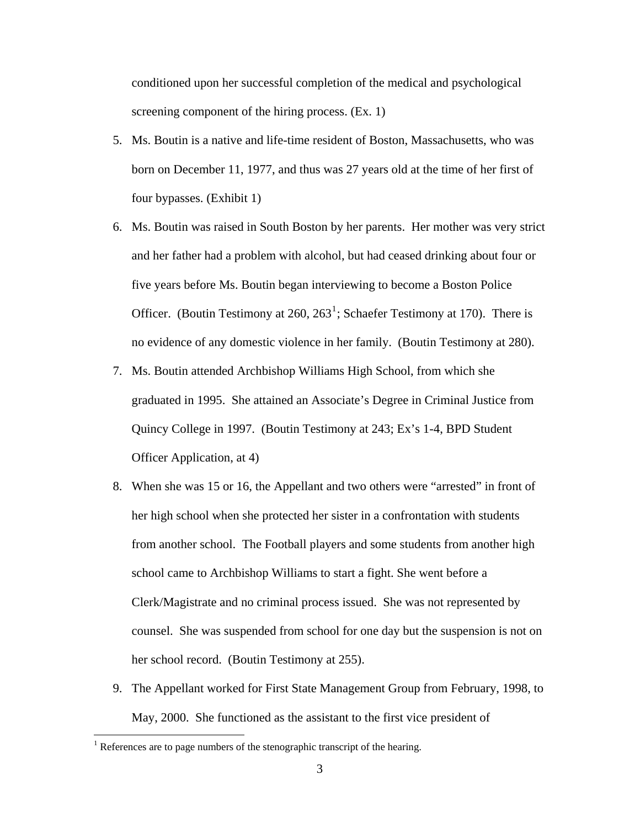conditioned upon her successful completion of the medical and psychological screening component of the hiring process. (Ex. 1)

- 5. Ms. Boutin is a native and life-time resident of Boston, Massachusetts, who was born on December 11, 1977, and thus was 27 years old at the time of her first of four bypasses. (Exhibit 1)
- 6. Ms. Boutin was raised in South Boston by her parents. Her mother was very strict and her father had a problem with alcohol, but had ceased drinking about four or five years before Ms. Boutin began interviewing to become a Boston Police Officer. (Boutin Testimony at  $260, 263^1$  $260, 263^1$ ; Schaefer Testimony at 170). There is no evidence of any domestic violence in her family. (Boutin Testimony at 280).
- 7. Ms. Boutin attended Archbishop Williams High School, from which she graduated in 1995. She attained an Associate's Degree in Criminal Justice from Quincy College in 1997. (Boutin Testimony at 243; Ex's 1-4, BPD Student Officer Application, at 4)
- 8. When she was 15 or 16, the Appellant and two others were "arrested" in front of her high school when she protected her sister in a confrontation with students from another school. The Football players and some students from another high school came to Archbishop Williams to start a fight. She went before a Clerk/Magistrate and no criminal process issued. She was not represented by counsel. She was suspended from school for one day but the suspension is not on her school record. (Boutin Testimony at 255).
- 9. The Appellant worked for First State Management Group from February, 1998, to May, 2000. She functioned as the assistant to the first vice president of

 $\overline{a}$ 

<span id="page-2-0"></span><sup>&</sup>lt;sup>1</sup> References are to page numbers of the stenographic transcript of the hearing.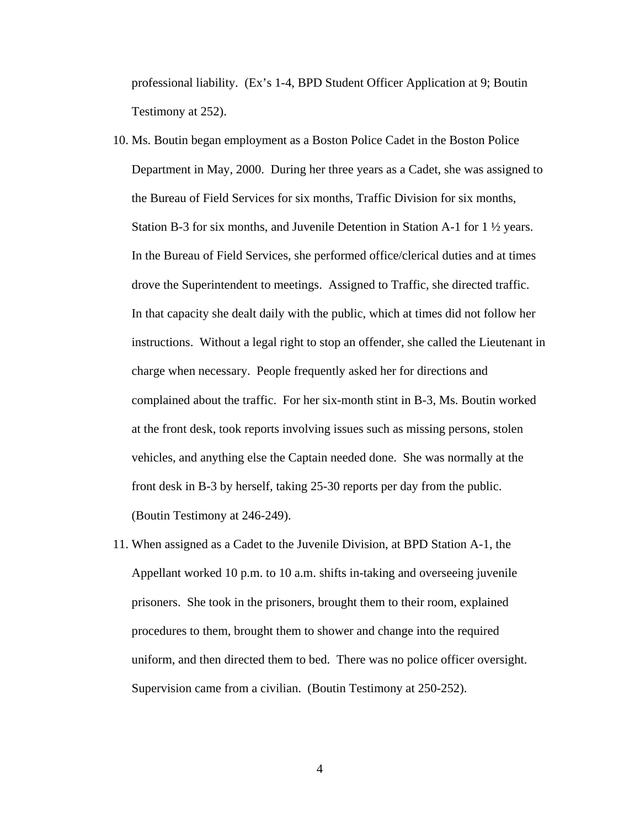professional liability. (Ex's 1-4, BPD Student Officer Application at 9; Boutin Testimony at 252).

- 10. Ms. Boutin began employment as a Boston Police Cadet in the Boston Police Department in May, 2000. During her three years as a Cadet, she was assigned to the Bureau of Field Services for six months, Traffic Division for six months, Station B-3 for six months, and Juvenile Detention in Station A-1 for 1 ½ years. In the Bureau of Field Services, she performed office/clerical duties and at times drove the Superintendent to meetings. Assigned to Traffic, she directed traffic. In that capacity she dealt daily with the public, which at times did not follow her instructions. Without a legal right to stop an offender, she called the Lieutenant in charge when necessary. People frequently asked her for directions and complained about the traffic. For her six-month stint in B-3, Ms. Boutin worked at the front desk, took reports involving issues such as missing persons, stolen vehicles, and anything else the Captain needed done. She was normally at the front desk in B-3 by herself, taking 25-30 reports per day from the public. (Boutin Testimony at 246-249).
- 11. When assigned as a Cadet to the Juvenile Division, at BPD Station A-1, the Appellant worked 10 p.m. to 10 a.m. shifts in-taking and overseeing juvenile prisoners. She took in the prisoners, brought them to their room, explained procedures to them, brought them to shower and change into the required uniform, and then directed them to bed. There was no police officer oversight. Supervision came from a civilian. (Boutin Testimony at 250-252).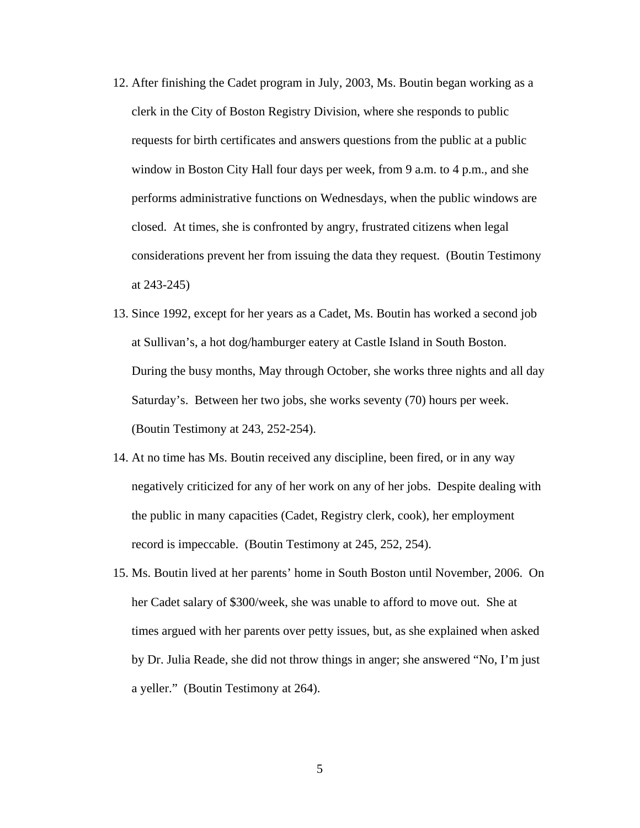- 12. After finishing the Cadet program in July, 2003, Ms. Boutin began working as a clerk in the City of Boston Registry Division, where she responds to public requests for birth certificates and answers questions from the public at a public window in Boston City Hall four days per week, from 9 a.m. to 4 p.m., and she performs administrative functions on Wednesdays, when the public windows are closed. At times, she is confronted by angry, frustrated citizens when legal considerations prevent her from issuing the data they request. (Boutin Testimony at 243-245)
- 13. Since 1992, except for her years as a Cadet, Ms. Boutin has worked a second job at Sullivan's, a hot dog/hamburger eatery at Castle Island in South Boston. During the busy months, May through October, she works three nights and all day Saturday's. Between her two jobs, she works seventy (70) hours per week. (Boutin Testimony at 243, 252-254).
- 14. At no time has Ms. Boutin received any discipline, been fired, or in any way negatively criticized for any of her work on any of her jobs. Despite dealing with the public in many capacities (Cadet, Registry clerk, cook), her employment record is impeccable. (Boutin Testimony at 245, 252, 254).
- 15. Ms. Boutin lived at her parents' home in South Boston until November, 2006. On her Cadet salary of \$300/week, she was unable to afford to move out. She at times argued with her parents over petty issues, but, as she explained when asked by Dr. Julia Reade, she did not throw things in anger; she answered "No, I'm just a yeller." (Boutin Testimony at 264).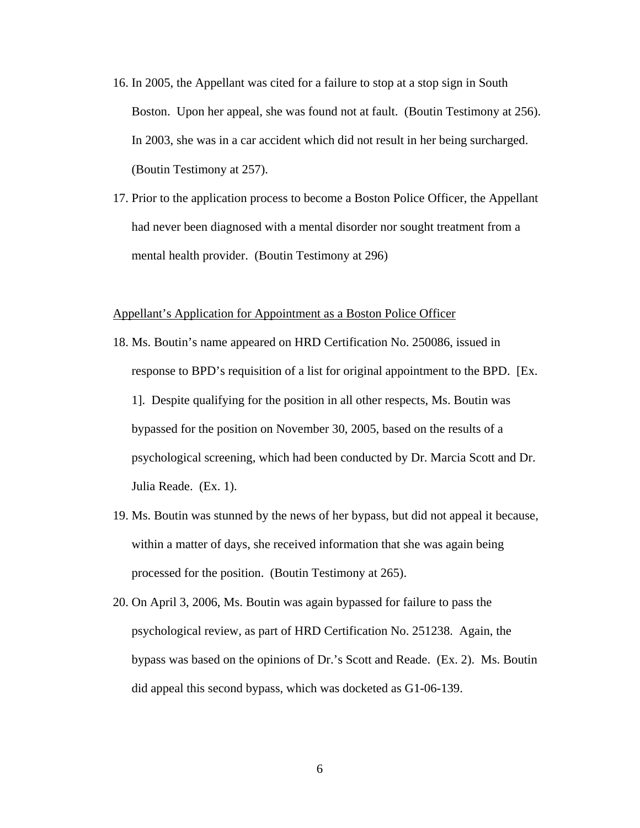- 16. In 2005, the Appellant was cited for a failure to stop at a stop sign in South Boston. Upon her appeal, she was found not at fault. (Boutin Testimony at 256). In 2003, she was in a car accident which did not result in her being surcharged. (Boutin Testimony at 257).
- 17. Prior to the application process to become a Boston Police Officer, the Appellant had never been diagnosed with a mental disorder nor sought treatment from a mental health provider. (Boutin Testimony at 296)

#### Appellant's Application for Appointment as a Boston Police Officer

- 18. Ms. Boutin's name appeared on HRD Certification No. 250086, issued in response to BPD's requisition of a list for original appointment to the BPD. [Ex. 1]. Despite qualifying for the position in all other respects, Ms. Boutin was bypassed for the position on November 30, 2005, based on the results of a psychological screening, which had been conducted by Dr. Marcia Scott and Dr. Julia Reade. (Ex. 1).
- 19. Ms. Boutin was stunned by the news of her bypass, but did not appeal it because, within a matter of days, she received information that she was again being processed for the position. (Boutin Testimony at 265).
- 20. On April 3, 2006, Ms. Boutin was again bypassed for failure to pass the psychological review, as part of HRD Certification No. 251238. Again, the bypass was based on the opinions of Dr.'s Scott and Reade. (Ex. 2). Ms. Boutin did appeal this second bypass, which was docketed as G1-06-139.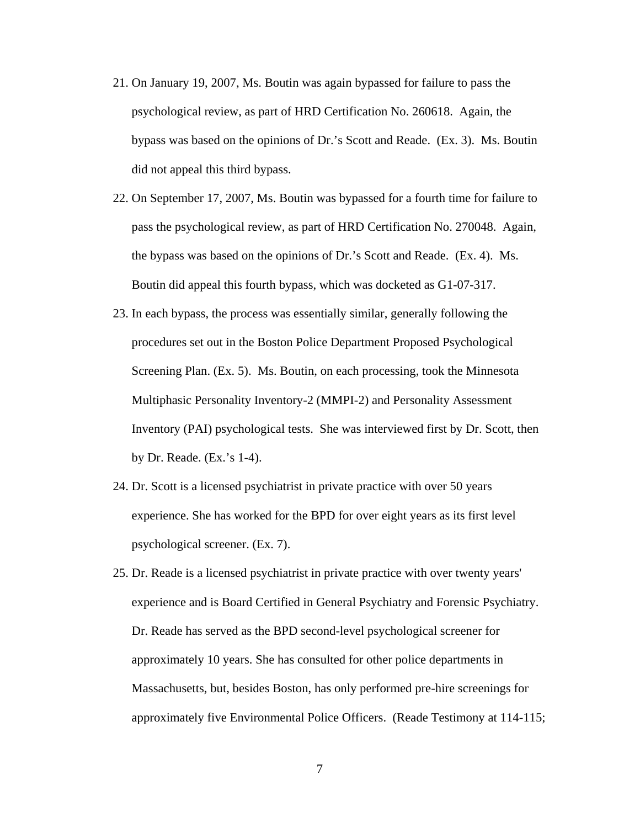- 21. On January 19, 2007, Ms. Boutin was again bypassed for failure to pass the psychological review, as part of HRD Certification No. 260618. Again, the bypass was based on the opinions of Dr.'s Scott and Reade. (Ex. 3). Ms. Boutin did not appeal this third bypass.
- 22. On September 17, 2007, Ms. Boutin was bypassed for a fourth time for failure to pass the psychological review, as part of HRD Certification No. 270048. Again, the bypass was based on the opinions of Dr.'s Scott and Reade. (Ex. 4). Ms. Boutin did appeal this fourth bypass, which was docketed as G1-07-317.
- 23. In each bypass, the process was essentially similar, generally following the procedures set out in the Boston Police Department Proposed Psychological Screening Plan. (Ex. 5). Ms. Boutin, on each processing, took the Minnesota Multiphasic Personality Inventory-2 (MMPI-2) and Personality Assessment Inventory (PAI) psychological tests. She was interviewed first by Dr. Scott, then by Dr. Reade. (Ex.'s 1-4).
- 24. Dr. Scott is a licensed psychiatrist in private practice with over 50 years experience. She has worked for the BPD for over eight years as its first level psychological screener. (Ex. 7).
- 25. Dr. Reade is a licensed psychiatrist in private practice with over twenty years' experience and is Board Certified in General Psychiatry and Forensic Psychiatry. Dr. Reade has served as the BPD second-level psychological screener for approximately 10 years. She has consulted for other police departments in Massachusetts, but, besides Boston, has only performed pre-hire screenings for approximately five Environmental Police Officers. (Reade Testimony at 114-115;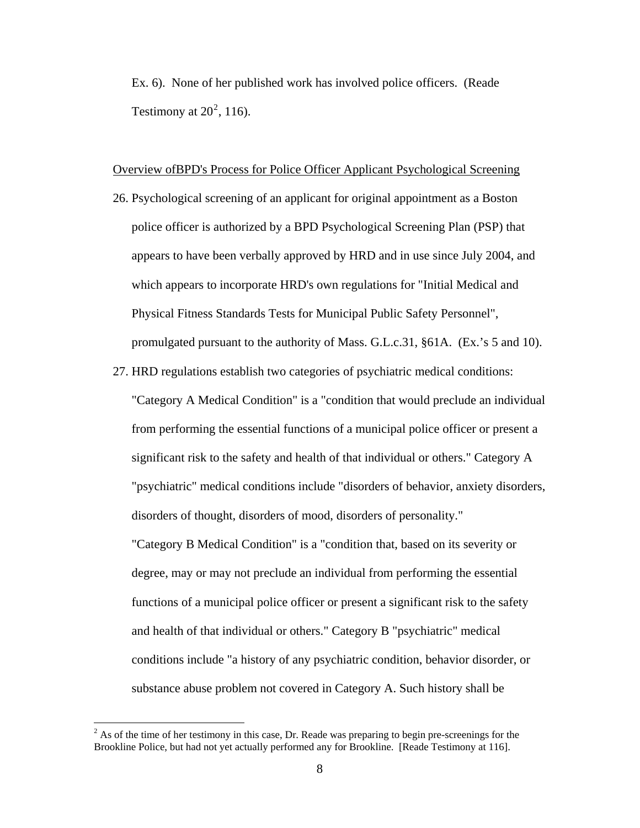Ex. 6). None of her published work has involved police officers. (Reade Testimony at  $20^2$ , 116).

#### Overview ofBPD's Process for Police Officer Applicant Psychological Screening

- 26. Psychological screening of an applicant for original appointment as a Boston police officer is authorized by a BPD Psychological Screening Plan (PSP) that appears to have been verbally approved by HRD and in use since July 2004, and which appears to incorporate HRD's own regulations for "Initial Medical and Physical Fitness Standards Tests for Municipal Public Safety Personnel", promulgated pursuant to the authority of Mass. G.L.c.31, §61A. (Ex.'s 5 and 10).
- 27. HRD regulations establish two categories of psychiatric medical conditions: "Category A Medical Condition" is a "condition that would preclude an individual from performing the essential functions of a municipal police officer or present a significant risk to the safety and health of that individual or others." Category A "psychiatric" medical conditions include "disorders of behavior, anxiety disorders, disorders of thought, disorders of mood, disorders of personality." "Category B Medical Condition" is a "condition that, based on its severity or degree, may or may not preclude an individual from performing the essential functions of a municipal police officer or present a significant risk to the safety and health of that individual or others." Category B "psychiatric" medical conditions include "a history of any psychiatric condition, behavior disorder, or substance abuse problem not covered in Category A. Such history shall be

<sup>&</sup>lt;sup>2</sup> As of the time of her testimony in this case, Dr. Reade was preparing to begin pre-screenings for the Brookline Police, but had not yet actually performed any for Brookline. [Reade Testimony at 116].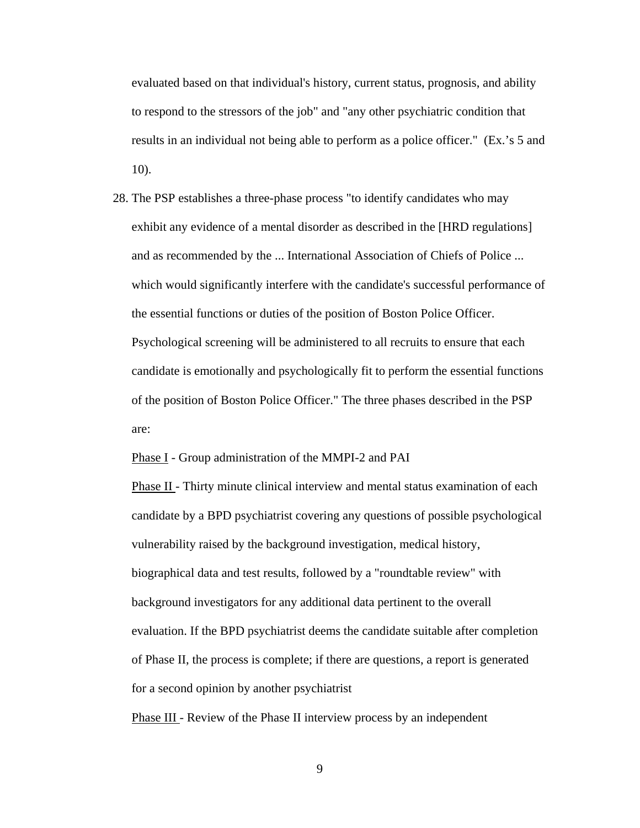evaluated based on that individual's history, current status, prognosis, and ability to respond to the stressors of the job" and "any other psychiatric condition that results in an individual not being able to perform as a police officer." (Ex.'s 5 and 10).

28. The PSP establishes a three-phase process "to identify candidates who may exhibit any evidence of a mental disorder as described in the [HRD regulations] and as recommended by the ... International Association of Chiefs of Police ... which would significantly interfere with the candidate's successful performance of the essential functions or duties of the position of Boston Police Officer. Psychological screening will be administered to all recruits to ensure that each candidate is emotionally and psychologically fit to perform the essential functions of the position of Boston Police Officer." The three phases described in the PSP are:

Phase I - Group administration of the MMPI-2 and PAI

Phase II - Thirty minute clinical interview and mental status examination of each candidate by a BPD psychiatrist covering any questions of possible psychological vulnerability raised by the background investigation, medical history, biographical data and test results, followed by a "roundtable review" with background investigators for any additional data pertinent to the overall evaluation. If the BPD psychiatrist deems the candidate suitable after completion of Phase II, the process is complete; if there are questions, a report is generated for a second opinion by another psychiatrist

Phase III - Review of the Phase II interview process by an independent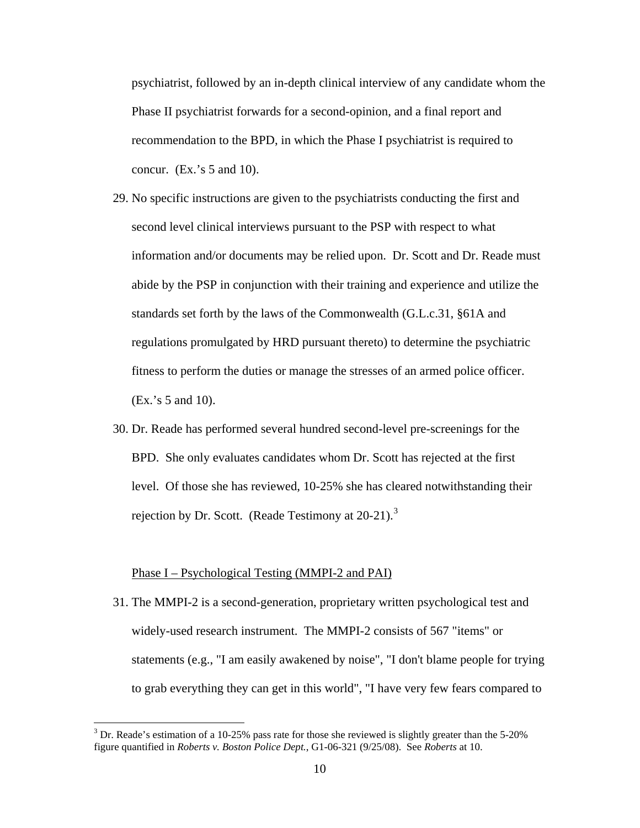psychiatrist, followed by an in-depth clinical interview of any candidate whom the Phase II psychiatrist forwards for a second-opinion, and a final report and recommendation to the BPD, in which the Phase I psychiatrist is required to concur. (Ex.'s 5 and 10).

- 29. No specific instructions are given to the psychiatrists conducting the first and second level clinical interviews pursuant to the PSP with respect to what information and/or documents may be relied upon. Dr. Scott and Dr. Reade must abide by the PSP in conjunction with their training and experience and utilize the standards set forth by the laws of the Commonwealth (G.L.c.31, §61A and regulations promulgated by HRD pursuant thereto) to determine the psychiatric fitness to perform the duties or manage the stresses of an armed police officer. (Ex.'s 5 and 10).
- 30. Dr. Reade has performed several hundred second-level pre-screenings for the BPD. She only evaluates candidates whom Dr. Scott has rejected at the first level. Of those she has reviewed, 10-25% she has cleared notwithstanding their rejection by Dr. Scott. (Reade Testimony at 20-21).<sup>[3](#page-9-0)</sup>

#### Phase I – Psychological Testing (MMPI-2 and PAI)

 $\overline{a}$ 

31. The MMPI-2 is a second-generation, proprietary written psychological test and widely-used research instrument. The MMPI-2 consists of 567 "items" or statements (e.g., "I am easily awakened by noise", "I don't blame people for trying to grab everything they can get in this world", "I have very few fears compared to

<span id="page-9-0"></span> $3$  Dr. Reade's estimation of a 10-25% pass rate for those she reviewed is slightly greater than the 5-20% figure quantified in *Roberts v. Boston Police Dept.*, G1-06-321 (9/25/08). See *Roberts* at 10.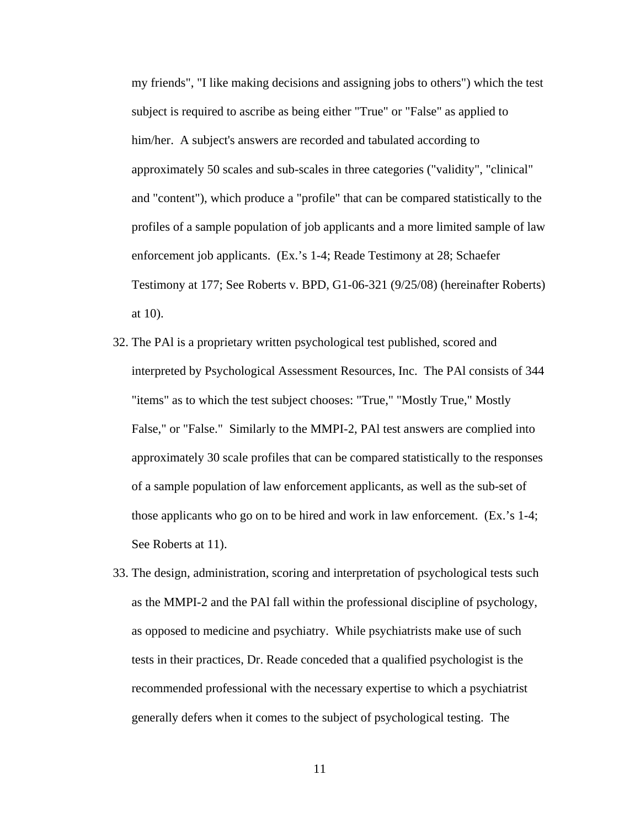my friends", "I like making decisions and assigning jobs to others") which the test subject is required to ascribe as being either "True" or "False" as applied to him/her. A subject's answers are recorded and tabulated according to approximately 50 scales and sub-scales in three categories ("validity", "clinical" and "content"), which produce a "profile" that can be compared statistically to the profiles of a sample population of job applicants and a more limited sample of law enforcement job applicants. (Ex.'s 1-4; Reade Testimony at 28; Schaefer Testimony at 177; See Roberts v. BPD, G1-06-321 (9/25/08) (hereinafter Roberts) at 10).

- 32. The PAl is a proprietary written psychological test published, scored and interpreted by Psychological Assessment Resources, Inc. The PAl consists of 344 "items" as to which the test subject chooses: "True," "Mostly True," Mostly False," or "False." Similarly to the MMPI-2, PAl test answers are complied into approximately 30 scale profiles that can be compared statistically to the responses of a sample population of law enforcement applicants, as well as the sub-set of those applicants who go on to be hired and work in law enforcement. (Ex.'s 1-4; See Roberts at 11).
- 33. The design, administration, scoring and interpretation of psychological tests such as the MMPI-2 and the PAl fall within the professional discipline of psychology, as opposed to medicine and psychiatry. While psychiatrists make use of such tests in their practices, Dr. Reade conceded that a qualified psychologist is the recommended professional with the necessary expertise to which a psychiatrist generally defers when it comes to the subject of psychological testing. The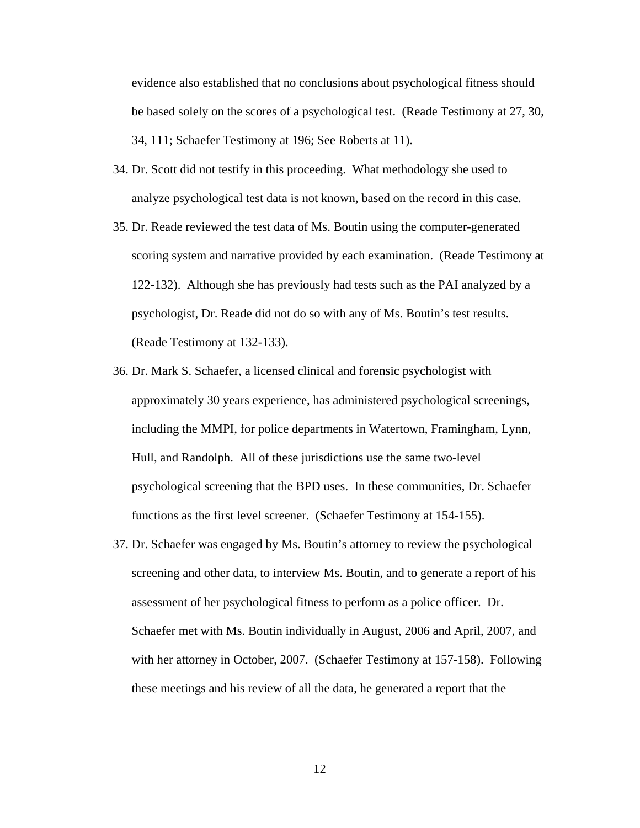evidence also established that no conclusions about psychological fitness should be based solely on the scores of a psychological test. (Reade Testimony at 27, 30, 34, 111; Schaefer Testimony at 196; See Roberts at 11).

- 34. Dr. Scott did not testify in this proceeding. What methodology she used to analyze psychological test data is not known, based on the record in this case.
- 35. Dr. Reade reviewed the test data of Ms. Boutin using the computer-generated scoring system and narrative provided by each examination. (Reade Testimony at 122-132). Although she has previously had tests such as the PAI analyzed by a psychologist, Dr. Reade did not do so with any of Ms. Boutin's test results. (Reade Testimony at 132-133).
- 36. Dr. Mark S. Schaefer, a licensed clinical and forensic psychologist with approximately 30 years experience, has administered psychological screenings, including the MMPI, for police departments in Watertown, Framingham, Lynn, Hull, and Randolph. All of these jurisdictions use the same two-level psychological screening that the BPD uses. In these communities, Dr. Schaefer functions as the first level screener. (Schaefer Testimony at 154-155).
- 37. Dr. Schaefer was engaged by Ms. Boutin's attorney to review the psychological screening and other data, to interview Ms. Boutin, and to generate a report of his assessment of her psychological fitness to perform as a police officer. Dr. Schaefer met with Ms. Boutin individually in August, 2006 and April, 2007, and with her attorney in October, 2007. (Schaefer Testimony at 157-158). Following these meetings and his review of all the data, he generated a report that the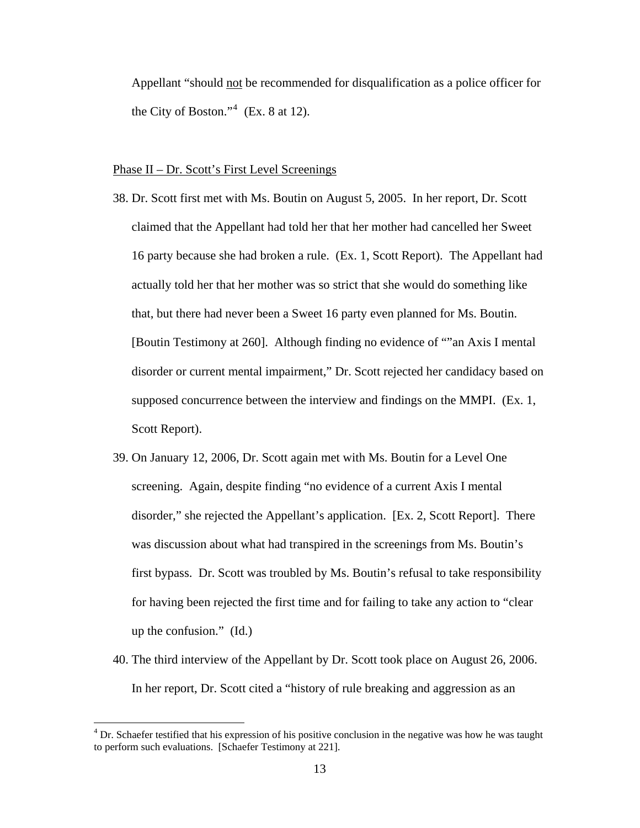Appellant "should not be recommended for disqualification as a police officer for the City of Boston."<sup>4</sup> (Ex. 8 at 12).

## Phase II – Dr. Scott's First Level Screenings

- 38. Dr. Scott first met with Ms. Boutin on August 5, 2005. In her report, Dr. Scott claimed that the Appellant had told her that her mother had cancelled her Sweet 16 party because she had broken a rule. (Ex. 1, Scott Report). The Appellant had actually told her that her mother was so strict that she would do something like that, but there had never been a Sweet 16 party even planned for Ms. Boutin. [Boutin Testimony at 260]. Although finding no evidence of ""an Axis I mental disorder or current mental impairment," Dr. Scott rejected her candidacy based on supposed concurrence between the interview and findings on the MMPI. (Ex. 1, Scott Report).
- 39. On January 12, 2006, Dr. Scott again met with Ms. Boutin for a Level One screening. Again, despite finding "no evidence of a current Axis I mental disorder," she rejected the Appellant's application. [Ex. 2, Scott Report]. There was discussion about what had transpired in the screenings from Ms. Boutin's first bypass. Dr. Scott was troubled by Ms. Boutin's refusal to take responsibility for having been rejected the first time and for failing to take any action to "clear up the confusion." (Id.)
- 40. The third interview of the Appellant by Dr. Scott took place on August 26, 2006. In her report, Dr. Scott cited a "history of rule breaking and aggression as an

 4 Dr. Schaefer testified that his expression of his positive conclusion in the negative was how he was taught to perform such evaluations. [Schaefer Testimony at 221].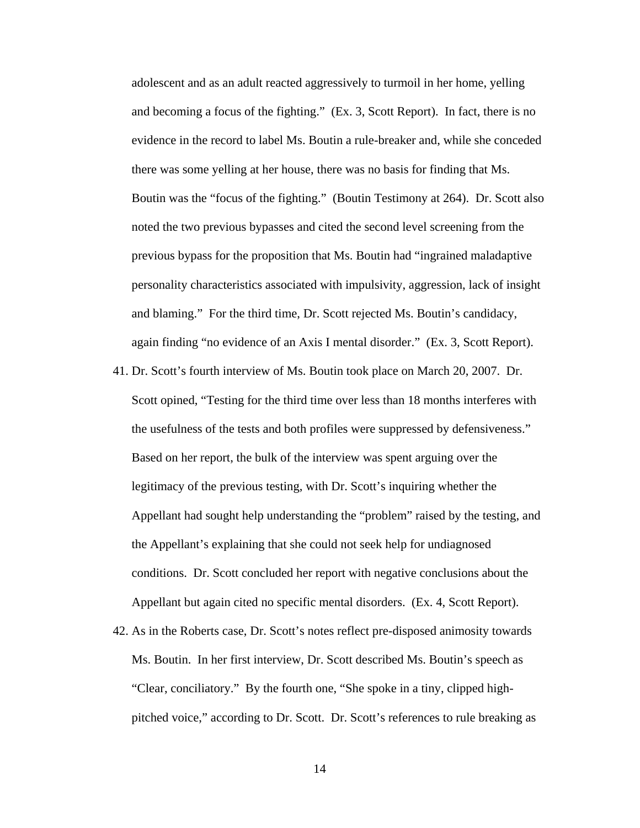adolescent and as an adult reacted aggressively to turmoil in her home, yelling and becoming a focus of the fighting." (Ex. 3, Scott Report). In fact, there is no evidence in the record to label Ms. Boutin a rule-breaker and, while she conceded there was some yelling at her house, there was no basis for finding that Ms. Boutin was the "focus of the fighting." (Boutin Testimony at 264). Dr. Scott also noted the two previous bypasses and cited the second level screening from the previous bypass for the proposition that Ms. Boutin had "ingrained maladaptive personality characteristics associated with impulsivity, aggression, lack of insight and blaming." For the third time, Dr. Scott rejected Ms. Boutin's candidacy, again finding "no evidence of an Axis I mental disorder." (Ex. 3, Scott Report).

- 41. Dr. Scott's fourth interview of Ms. Boutin took place on March 20, 2007. Dr. Scott opined, "Testing for the third time over less than 18 months interferes with the usefulness of the tests and both profiles were suppressed by defensiveness." Based on her report, the bulk of the interview was spent arguing over the legitimacy of the previous testing, with Dr. Scott's inquiring whether the Appellant had sought help understanding the "problem" raised by the testing, and the Appellant's explaining that she could not seek help for undiagnosed conditions. Dr. Scott concluded her report with negative conclusions about the Appellant but again cited no specific mental disorders. (Ex. 4, Scott Report).
- 42. As in the Roberts case, Dr. Scott's notes reflect pre-disposed animosity towards Ms. Boutin. In her first interview, Dr. Scott described Ms. Boutin's speech as "Clear, conciliatory." By the fourth one, "She spoke in a tiny, clipped highpitched voice," according to Dr. Scott. Dr. Scott's references to rule breaking as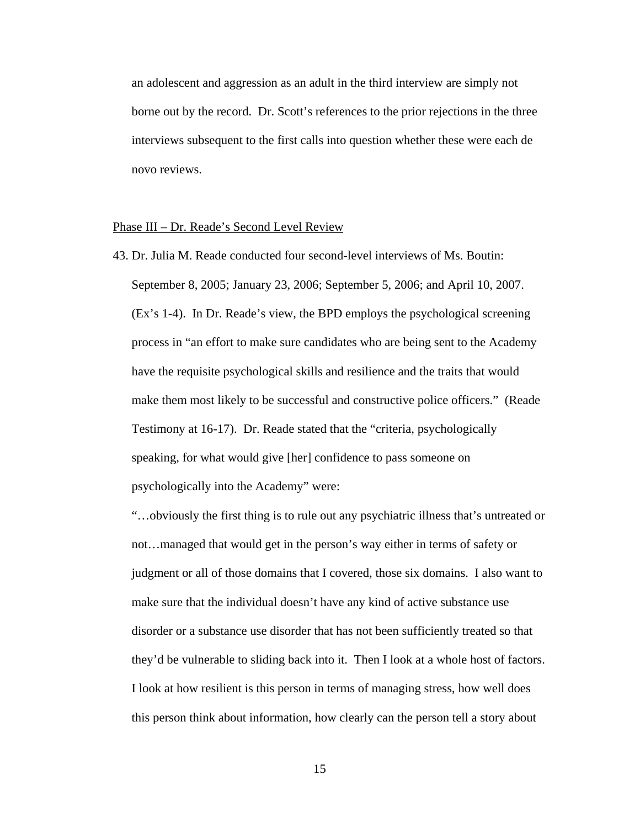an adolescent and aggression as an adult in the third interview are simply not borne out by the record. Dr. Scott's references to the prior rejections in the three interviews subsequent to the first calls into question whether these were each de novo reviews.

#### Phase III – Dr. Reade's Second Level Review

43. Dr. Julia M. Reade conducted four second-level interviews of Ms. Boutin: September 8, 2005; January 23, 2006; September 5, 2006; and April 10, 2007. (Ex's 1-4). In Dr. Reade's view, the BPD employs the psychological screening process in "an effort to make sure candidates who are being sent to the Academy have the requisite psychological skills and resilience and the traits that would make them most likely to be successful and constructive police officers." (Reade Testimony at 16-17). Dr. Reade stated that the "criteria, psychologically speaking, for what would give [her] confidence to pass someone on psychologically into the Academy" were:

"…obviously the first thing is to rule out any psychiatric illness that's untreated or not…managed that would get in the person's way either in terms of safety or judgment or all of those domains that I covered, those six domains. I also want to make sure that the individual doesn't have any kind of active substance use disorder or a substance use disorder that has not been sufficiently treated so that they'd be vulnerable to sliding back into it. Then I look at a whole host of factors. I look at how resilient is this person in terms of managing stress, how well does this person think about information, how clearly can the person tell a story about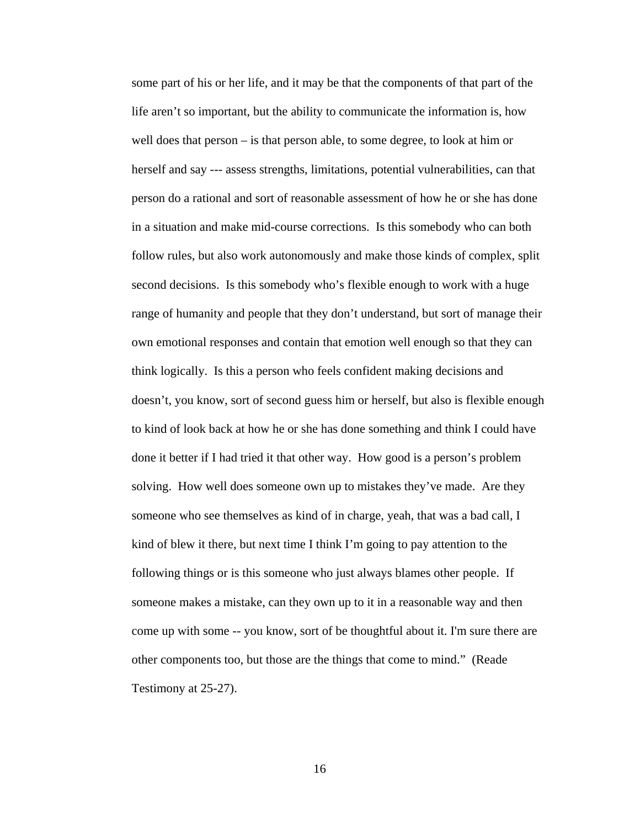some part of his or her life, and it may be that the components of that part of the life aren't so important, but the ability to communicate the information is, how well does that person – is that person able, to some degree, to look at him or herself and say --- assess strengths, limitations, potential vulnerabilities, can that person do a rational and sort of reasonable assessment of how he or she has done in a situation and make mid-course corrections. Is this somebody who can both follow rules, but also work autonomously and make those kinds of complex, split second decisions. Is this somebody who's flexible enough to work with a huge range of humanity and people that they don't understand, but sort of manage their own emotional responses and contain that emotion well enough so that they can think logically. Is this a person who feels confident making decisions and doesn't, you know, sort of second guess him or herself, but also is flexible enough to kind of look back at how he or she has done something and think I could have done it better if I had tried it that other way. How good is a person's problem solving. How well does someone own up to mistakes they've made. Are they someone who see themselves as kind of in charge, yeah, that was a bad call, I kind of blew it there, but next time I think I'm going to pay attention to the following things or is this someone who just always blames other people. If someone makes a mistake, can they own up to it in a reasonable way and then come up with some -- you know, sort of be thoughtful about it. I'm sure there are other components too, but those are the things that come to mind." (Reade Testimony at 25-27).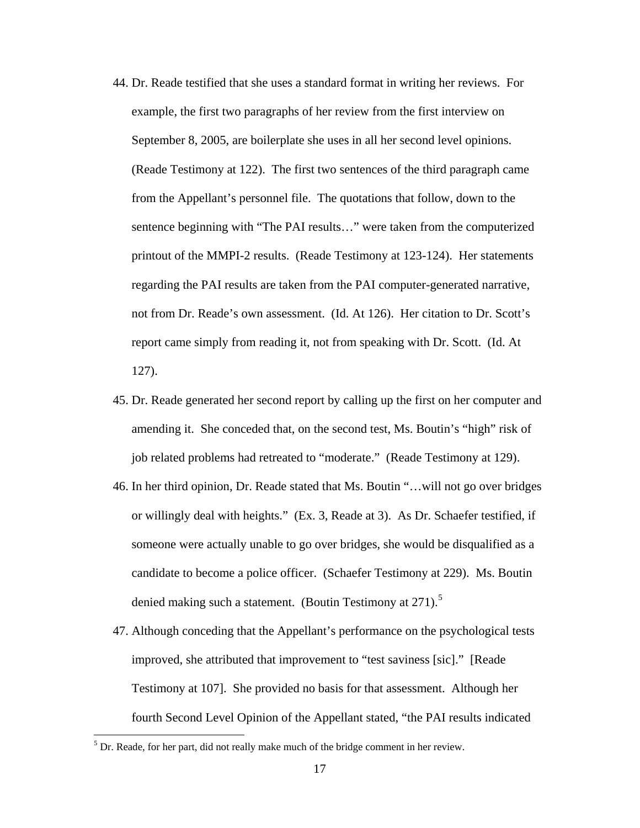- 44. Dr. Reade testified that she uses a standard format in writing her reviews. For example, the first two paragraphs of her review from the first interview on September 8, 2005, are boilerplate she uses in all her second level opinions. (Reade Testimony at 122). The first two sentences of the third paragraph came from the Appellant's personnel file. The quotations that follow, down to the sentence beginning with "The PAI results…" were taken from the computerized printout of the MMPI-2 results. (Reade Testimony at 123-124). Her statements regarding the PAI results are taken from the PAI computer-generated narrative, not from Dr. Reade's own assessment. (Id. At 126). Her citation to Dr. Scott's report came simply from reading it, not from speaking with Dr. Scott. (Id. At 127).
- 45. Dr. Reade generated her second report by calling up the first on her computer and amending it. She conceded that, on the second test, Ms. Boutin's "high" risk of job related problems had retreated to "moderate." (Reade Testimony at 129).
- 46. In her third opinion, Dr. Reade stated that Ms. Boutin "…will not go over bridges or willingly deal with heights." (Ex. 3, Reade at 3). As Dr. Schaefer testified, if someone were actually unable to go over bridges, she would be disqualified as a candidate to become a police officer. (Schaefer Testimony at 229). Ms. Boutin denied making such a statement. (Boutin Testimony at  $271$ ).<sup>[5](#page-16-0)</sup>
- 47. Although conceding that the Appellant's performance on the psychological tests improved, she attributed that improvement to "test saviness [sic]." [Reade Testimony at 107]. She provided no basis for that assessment. Although her fourth Second Level Opinion of the Appellant stated, "the PAI results indicated

<span id="page-16-0"></span><sup>&</sup>lt;sup>5</sup> Dr. Reade, for her part, did not really make much of the bridge comment in her review.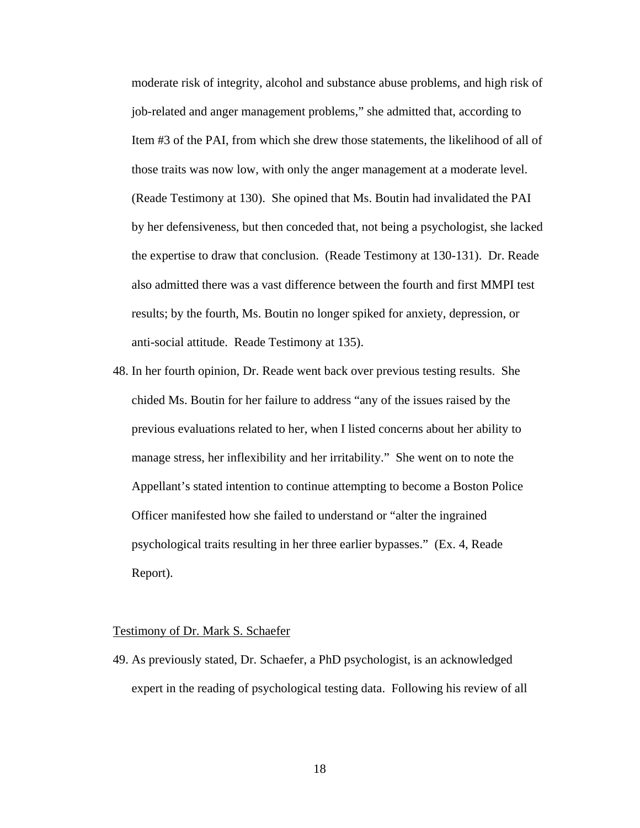moderate risk of integrity, alcohol and substance abuse problems, and high risk of job-related and anger management problems," she admitted that, according to Item #3 of the PAI, from which she drew those statements, the likelihood of all of those traits was now low, with only the anger management at a moderate level. (Reade Testimony at 130). She opined that Ms. Boutin had invalidated the PAI by her defensiveness, but then conceded that, not being a psychologist, she lacked the expertise to draw that conclusion. (Reade Testimony at 130-131). Dr. Reade also admitted there was a vast difference between the fourth and first MMPI test results; by the fourth, Ms. Boutin no longer spiked for anxiety, depression, or anti-social attitude. Reade Testimony at 135).

48. In her fourth opinion, Dr. Reade went back over previous testing results. She chided Ms. Boutin for her failure to address "any of the issues raised by the previous evaluations related to her, when I listed concerns about her ability to manage stress, her inflexibility and her irritability." She went on to note the Appellant's stated intention to continue attempting to become a Boston Police Officer manifested how she failed to understand or "alter the ingrained psychological traits resulting in her three earlier bypasses." (Ex. 4, Reade Report).

#### Testimony of Dr. Mark S. Schaefer

49. As previously stated, Dr. Schaefer, a PhD psychologist, is an acknowledged expert in the reading of psychological testing data. Following his review of all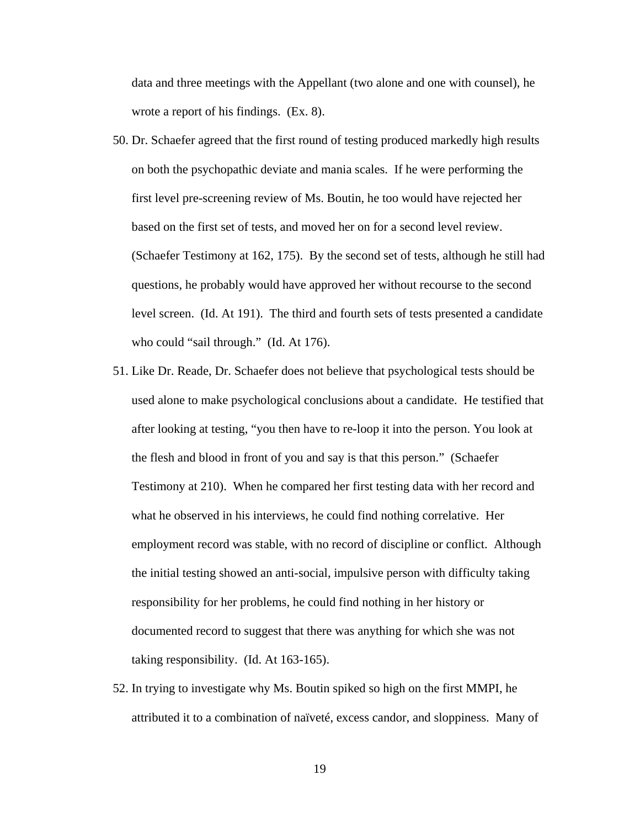data and three meetings with the Appellant (two alone and one with counsel), he wrote a report of his findings. (Ex. 8).

- 50. Dr. Schaefer agreed that the first round of testing produced markedly high results on both the psychopathic deviate and mania scales. If he were performing the first level pre-screening review of Ms. Boutin, he too would have rejected her based on the first set of tests, and moved her on for a second level review. (Schaefer Testimony at 162, 175). By the second set of tests, although he still had questions, he probably would have approved her without recourse to the second level screen. (Id. At 191). The third and fourth sets of tests presented a candidate who could "sail through." (Id. At 176).
- 51. Like Dr. Reade, Dr. Schaefer does not believe that psychological tests should be used alone to make psychological conclusions about a candidate. He testified that after looking at testing, "you then have to re-loop it into the person. You look at the flesh and blood in front of you and say is that this person." (Schaefer Testimony at 210). When he compared her first testing data with her record and what he observed in his interviews, he could find nothing correlative. Her employment record was stable, with no record of discipline or conflict. Although the initial testing showed an anti-social, impulsive person with difficulty taking responsibility for her problems, he could find nothing in her history or documented record to suggest that there was anything for which she was not taking responsibility. (Id. At 163-165).
- 52. In trying to investigate why Ms. Boutin spiked so high on the first MMPI, he attributed it to a combination of naïveté, excess candor, and sloppiness. Many of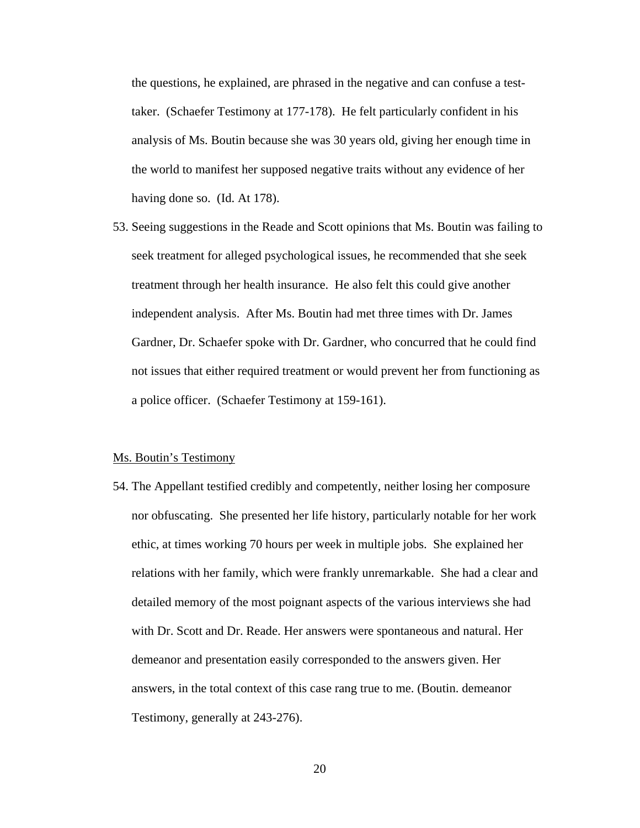the questions, he explained, are phrased in the negative and can confuse a testtaker. (Schaefer Testimony at 177-178). He felt particularly confident in his analysis of Ms. Boutin because she was 30 years old, giving her enough time in the world to manifest her supposed negative traits without any evidence of her having done so. (Id. At 178).

53. Seeing suggestions in the Reade and Scott opinions that Ms. Boutin was failing to seek treatment for alleged psychological issues, he recommended that she seek treatment through her health insurance. He also felt this could give another independent analysis. After Ms. Boutin had met three times with Dr. James Gardner, Dr. Schaefer spoke with Dr. Gardner, who concurred that he could find not issues that either required treatment or would prevent her from functioning as a police officer. (Schaefer Testimony at 159-161).

#### Ms. Boutin's Testimony

54. The Appellant testified credibly and competently, neither losing her composure nor obfuscating. She presented her life history, particularly notable for her work ethic, at times working 70 hours per week in multiple jobs. She explained her relations with her family, which were frankly unremarkable. She had a clear and detailed memory of the most poignant aspects of the various interviews she had with Dr. Scott and Dr. Reade. Her answers were spontaneous and natural. Her demeanor and presentation easily corresponded to the answers given. Her answers, in the total context of this case rang true to me. (Boutin. demeanor Testimony, generally at 243-276).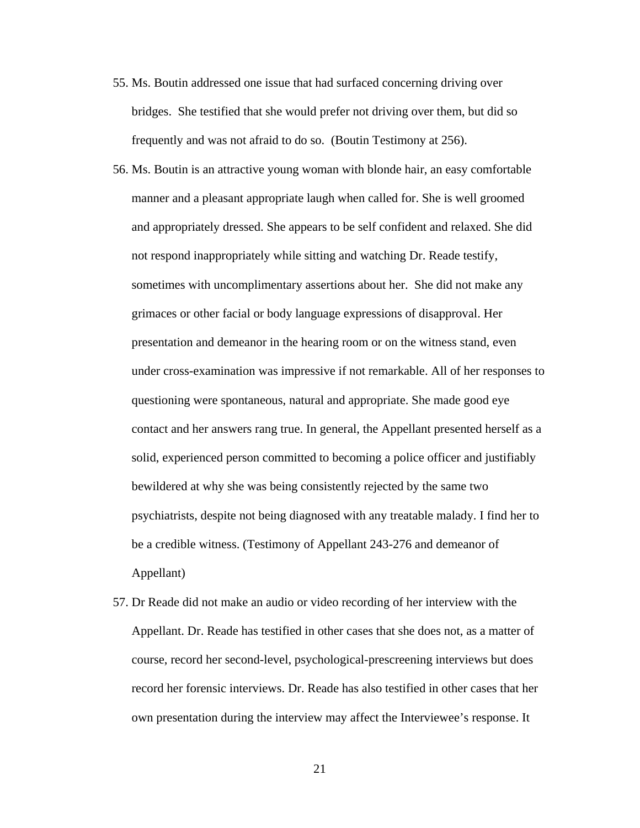- 55. Ms. Boutin addressed one issue that had surfaced concerning driving over bridges. She testified that she would prefer not driving over them, but did so frequently and was not afraid to do so. (Boutin Testimony at 256).
- 56. Ms. Boutin is an attractive young woman with blonde hair, an easy comfortable manner and a pleasant appropriate laugh when called for. She is well groomed and appropriately dressed. She appears to be self confident and relaxed. She did not respond inappropriately while sitting and watching Dr. Reade testify, sometimes with uncomplimentary assertions about her. She did not make any grimaces or other facial or body language expressions of disapproval. Her presentation and demeanor in the hearing room or on the witness stand, even under cross-examination was impressive if not remarkable. All of her responses to questioning were spontaneous, natural and appropriate. She made good eye contact and her answers rang true. In general, the Appellant presented herself as a solid, experienced person committed to becoming a police officer and justifiably bewildered at why she was being consistently rejected by the same two psychiatrists, despite not being diagnosed with any treatable malady. I find her to be a credible witness. (Testimony of Appellant 243-276 and demeanor of Appellant)
- 57. Dr Reade did not make an audio or video recording of her interview with the Appellant. Dr. Reade has testified in other cases that she does not, as a matter of course, record her second-level, psychological-prescreening interviews but does record her forensic interviews. Dr. Reade has also testified in other cases that her own presentation during the interview may affect the Interviewee's response. It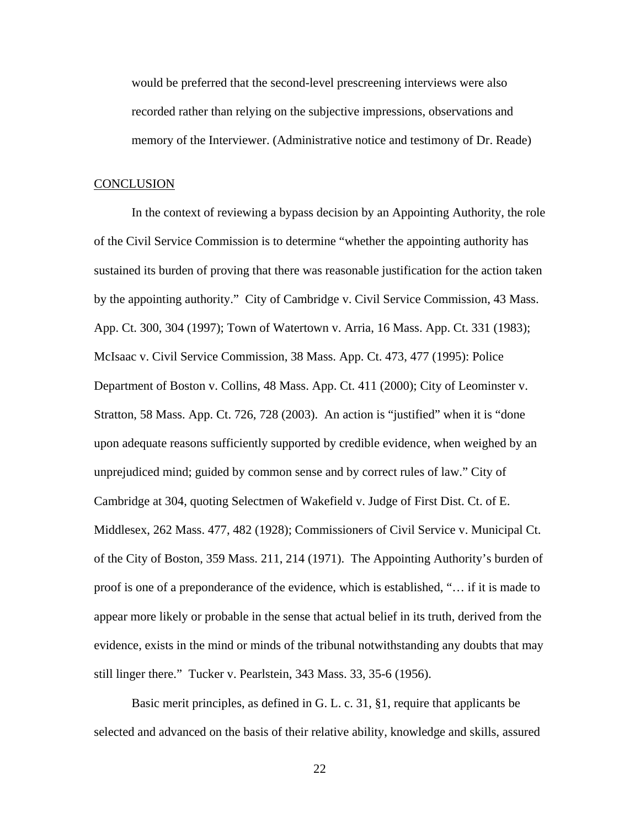would be preferred that the second-level prescreening interviews were also recorded rather than relying on the subjective impressions, observations and memory of the Interviewer. (Administrative notice and testimony of Dr. Reade)

# **CONCLUSION**

In the context of reviewing a bypass decision by an Appointing Authority, the role of the Civil Service Commission is to determine "whether the appointing authority has sustained its burden of proving that there was reasonable justification for the action taken by the appointing authority." City of Cambridge v. Civil Service Commission, 43 Mass. App. Ct. 300, 304 (1997); Town of Watertown v. Arria, 16 Mass. App. Ct. 331 (1983); McIsaac v. Civil Service Commission, 38 Mass. App. Ct. 473, 477 (1995): Police Department of Boston v. Collins, 48 Mass. App. Ct. 411 (2000); City of Leominster v. Stratton, 58 Mass. App. Ct. 726, 728 (2003). An action is "justified" when it is "done upon adequate reasons sufficiently supported by credible evidence, when weighed by an unprejudiced mind; guided by common sense and by correct rules of law." City of Cambridge at 304, quoting Selectmen of Wakefield v. Judge of First Dist. Ct. of E. Middlesex, 262 Mass. 477, 482 (1928); Commissioners of Civil Service v. Municipal Ct. of the City of Boston, 359 Mass. 211, 214 (1971). The Appointing Authority's burden of proof is one of a preponderance of the evidence, which is established, "… if it is made to appear more likely or probable in the sense that actual belief in its truth, derived from the evidence, exists in the mind or minds of the tribunal notwithstanding any doubts that may still linger there." Tucker v. Pearlstein, 343 Mass. 33, 35-6 (1956).

Basic merit principles, as defined in G. L. c. 31, §1, require that applicants be selected and advanced on the basis of their relative ability, knowledge and skills, assured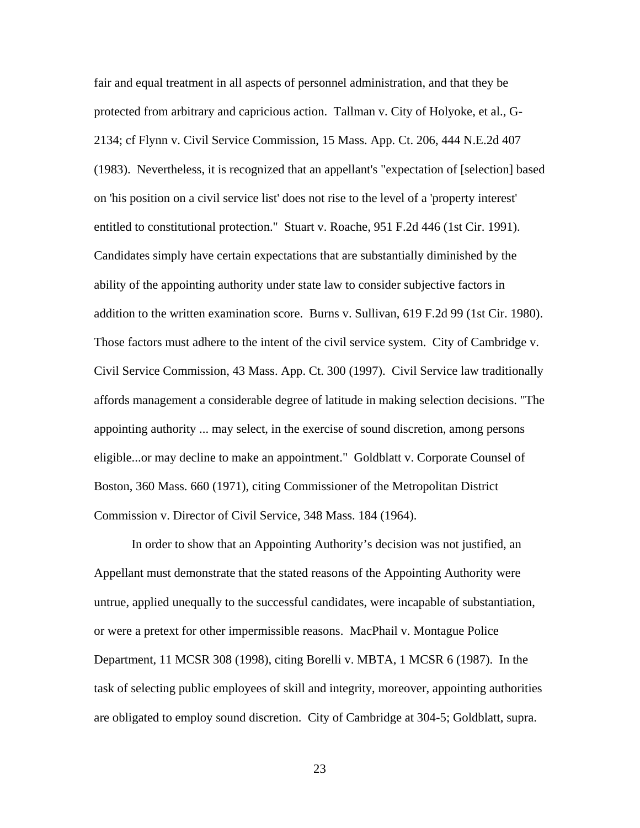fair and equal treatment in all aspects of personnel administration, and that they be protected from arbitrary and capricious action. Tallman v. City of Holyoke, et al., G-2134; cf Flynn v. Civil Service Commission, 15 Mass. App. Ct. 206, 444 N.E.2d 407 (1983). Nevertheless, it is recognized that an appellant's "expectation of [selection] based on 'his position on a civil service list' does not rise to the level of a 'property interest' entitled to constitutional protection." Stuart v. Roache, 951 F.2d 446 (1st Cir. 1991). Candidates simply have certain expectations that are substantially diminished by the ability of the appointing authority under state law to consider subjective factors in addition to the written examination score. Burns v. Sullivan, 619 F.2d 99 (1st Cir. 1980). Those factors must adhere to the intent of the civil service system. City of Cambridge v. Civil Service Commission, 43 Mass. App. Ct. 300 (1997). Civil Service law traditionally affords management a considerable degree of latitude in making selection decisions. "The appointing authority ... may select, in the exercise of sound discretion, among persons eligible...or may decline to make an appointment." Goldblatt v. Corporate Counsel of Boston, 360 Mass. 660 (1971), citing Commissioner of the Metropolitan District Commission v. Director of Civil Service, 348 Mass. 184 (1964).

In order to show that an Appointing Authority's decision was not justified, an Appellant must demonstrate that the stated reasons of the Appointing Authority were untrue, applied unequally to the successful candidates, were incapable of substantiation, or were a pretext for other impermissible reasons. MacPhail v. Montague Police Department, 11 MCSR 308 (1998), citing Borelli v. MBTA, 1 MCSR 6 (1987). In the task of selecting public employees of skill and integrity, moreover, appointing authorities are obligated to employ sound discretion. City of Cambridge at 304-5; Goldblatt, supra.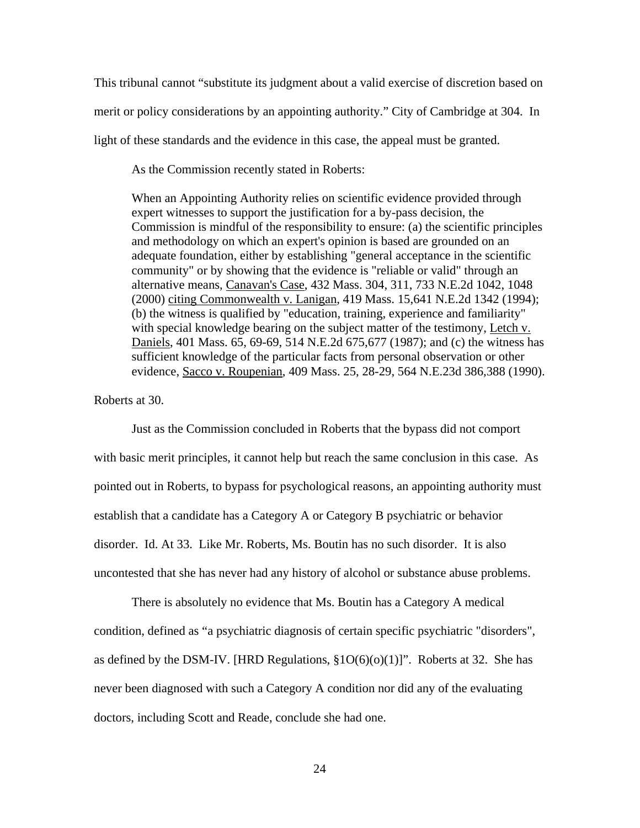This tribunal cannot "substitute its judgment about a valid exercise of discretion based on merit or policy considerations by an appointing authority." City of Cambridge at 304. In light of these standards and the evidence in this case, the appeal must be granted.

As the Commission recently stated in Roberts:

When an Appointing Authority relies on scientific evidence provided through expert witnesses to support the justification for a by-pass decision, the Commission is mindful of the responsibility to ensure: (a) the scientific principles and methodology on which an expert's opinion is based are grounded on an adequate foundation, either by establishing "general acceptance in the scientific community" or by showing that the evidence is "reliable or valid" through an alternative means, Canavan's Case, 432 Mass. 304, 311, 733 N.E.2d 1042, 1048 (2000) citing Commonwealth v. Lanigan, 419 Mass. 15,641 N.E.2d 1342 (1994); (b) the witness is qualified by "education, training, experience and familiarity" with special knowledge bearing on the subject matter of the testimony, Letch v. Daniels, 401 Mass. 65, 69-69, 514 N.E.2d 675,677 (1987); and (c) the witness has sufficient knowledge of the particular facts from personal observation or other evidence, Sacco v. Roupenian, 409 Mass. 25, 28-29, 564 N.E.23d 386,388 (1990).

Roberts at 30.

Just as the Commission concluded in Roberts that the bypass did not comport with basic merit principles, it cannot help but reach the same conclusion in this case. As pointed out in Roberts, to bypass for psychological reasons, an appointing authority must establish that a candidate has a Category A or Category B psychiatric or behavior disorder. Id. At 33. Like Mr. Roberts, Ms. Boutin has no such disorder. It is also uncontested that she has never had any history of alcohol or substance abuse problems.

There is absolutely no evidence that Ms. Boutin has a Category A medical condition, defined as "a psychiatric diagnosis of certain specific psychiatric "disorders", as defined by the DSM-IV. [HRD Regulations,  $\S1O(6)(o)(1)$ ]". Roberts at 32. She has never been diagnosed with such a Category A condition nor did any of the evaluating doctors, including Scott and Reade, conclude she had one.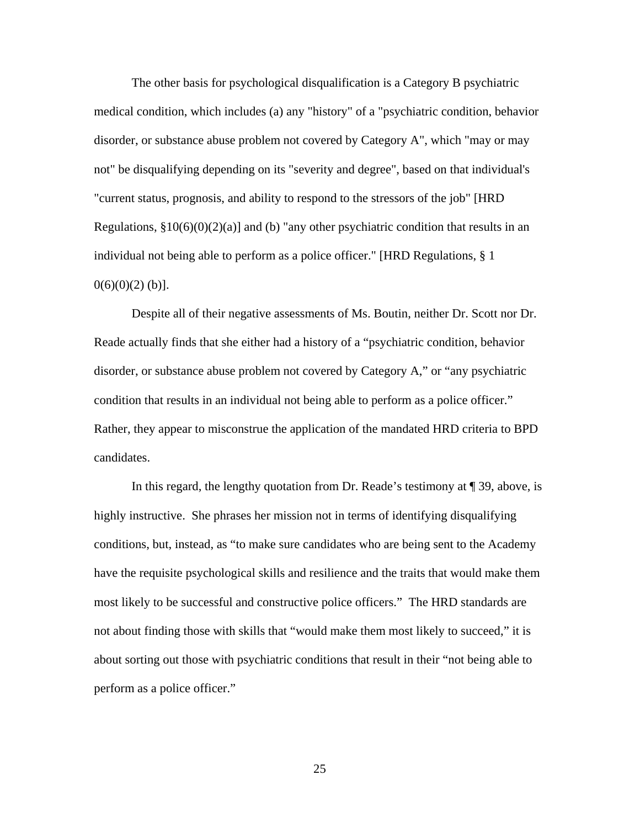The other basis for psychological disqualification is a Category B psychiatric medical condition, which includes (a) any "history" of a "psychiatric condition, behavior disorder, or substance abuse problem not covered by Category A", which "may or may not" be disqualifying depending on its "severity and degree", based on that individual's "current status, prognosis, and ability to respond to the stressors of the job" [HRD Regulations,  $\S10(6)(0)(2)(a)$ ] and (b) "any other psychiatric condition that results in an individual not being able to perform as a police officer." [HRD Regulations, § 1  $0(6)(0)(2)$  (b)].

Despite all of their negative assessments of Ms. Boutin, neither Dr. Scott nor Dr. Reade actually finds that she either had a history of a "psychiatric condition, behavior disorder, or substance abuse problem not covered by Category A," or "any psychiatric condition that results in an individual not being able to perform as a police officer." Rather, they appear to misconstrue the application of the mandated HRD criteria to BPD candidates.

In this regard, the lengthy quotation from Dr. Reade's testimony at ¶ 39, above, is highly instructive. She phrases her mission not in terms of identifying disqualifying conditions, but, instead, as "to make sure candidates who are being sent to the Academy have the requisite psychological skills and resilience and the traits that would make them most likely to be successful and constructive police officers." The HRD standards are not about finding those with skills that "would make them most likely to succeed," it is about sorting out those with psychiatric conditions that result in their "not being able to perform as a police officer."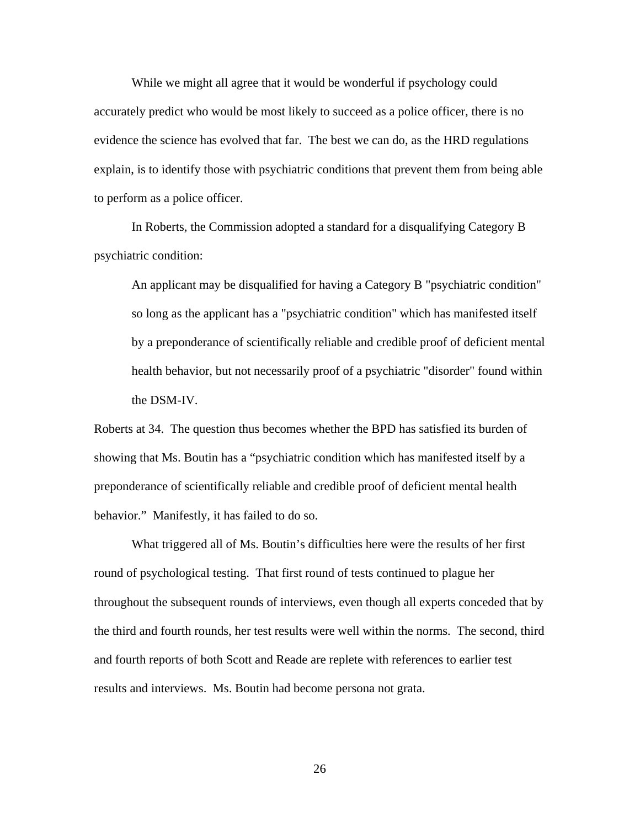While we might all agree that it would be wonderful if psychology could accurately predict who would be most likely to succeed as a police officer, there is no evidence the science has evolved that far. The best we can do, as the HRD regulations explain, is to identify those with psychiatric conditions that prevent them from being able to perform as a police officer.

In Roberts, the Commission adopted a standard for a disqualifying Category B psychiatric condition:

An applicant may be disqualified for having a Category B "psychiatric condition" so long as the applicant has a "psychiatric condition" which has manifested itself by a preponderance of scientifically reliable and credible proof of deficient mental health behavior, but not necessarily proof of a psychiatric "disorder" found within the DSM-IV.

Roberts at 34. The question thus becomes whether the BPD has satisfied its burden of showing that Ms. Boutin has a "psychiatric condition which has manifested itself by a preponderance of scientifically reliable and credible proof of deficient mental health behavior." Manifestly, it has failed to do so.

 What triggered all of Ms. Boutin's difficulties here were the results of her first round of psychological testing. That first round of tests continued to plague her throughout the subsequent rounds of interviews, even though all experts conceded that by the third and fourth rounds, her test results were well within the norms. The second, third and fourth reports of both Scott and Reade are replete with references to earlier test results and interviews. Ms. Boutin had become persona not grata.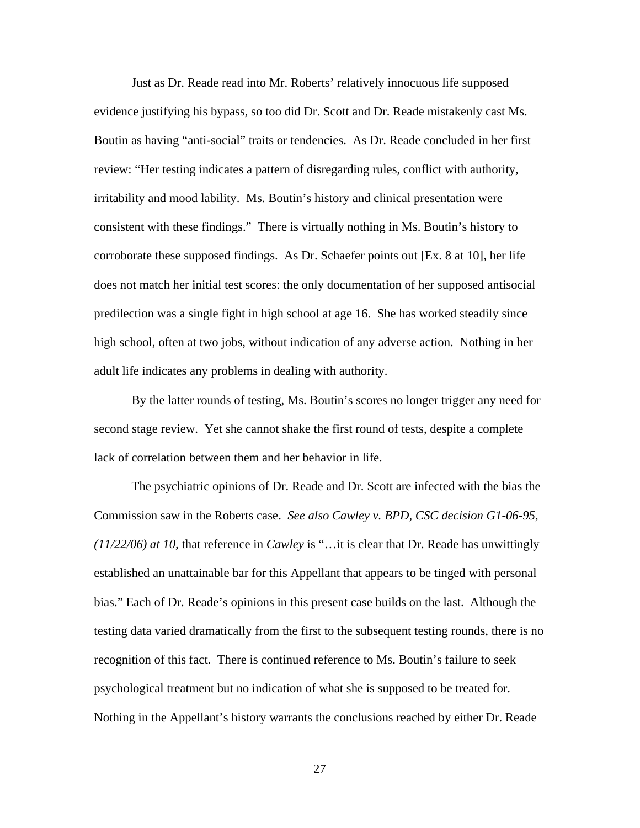Just as Dr. Reade read into Mr. Roberts' relatively innocuous life supposed evidence justifying his bypass, so too did Dr. Scott and Dr. Reade mistakenly cast Ms. Boutin as having "anti-social" traits or tendencies. As Dr. Reade concluded in her first review: "Her testing indicates a pattern of disregarding rules, conflict with authority, irritability and mood lability. Ms. Boutin's history and clinical presentation were consistent with these findings." There is virtually nothing in Ms. Boutin's history to corroborate these supposed findings. As Dr. Schaefer points out [Ex. 8 at 10], her life does not match her initial test scores: the only documentation of her supposed antisocial predilection was a single fight in high school at age 16. She has worked steadily since high school, often at two jobs, without indication of any adverse action. Nothing in her adult life indicates any problems in dealing with authority.

By the latter rounds of testing, Ms. Boutin's scores no longer trigger any need for second stage review. Yet she cannot shake the first round of tests, despite a complete lack of correlation between them and her behavior in life.

The psychiatric opinions of Dr. Reade and Dr. Scott are infected with the bias the Commission saw in the Roberts case. *See also Cawley v. BPD, CSC decision G1-06-95, (11/22/06) at 10,* that reference in *Cawley* is "…it is clear that Dr. Reade has unwittingly established an unattainable bar for this Appellant that appears to be tinged with personal bias." Each of Dr. Reade's opinions in this present case builds on the last. Although the testing data varied dramatically from the first to the subsequent testing rounds, there is no recognition of this fact. There is continued reference to Ms. Boutin's failure to seek psychological treatment but no indication of what she is supposed to be treated for. Nothing in the Appellant's history warrants the conclusions reached by either Dr. Reade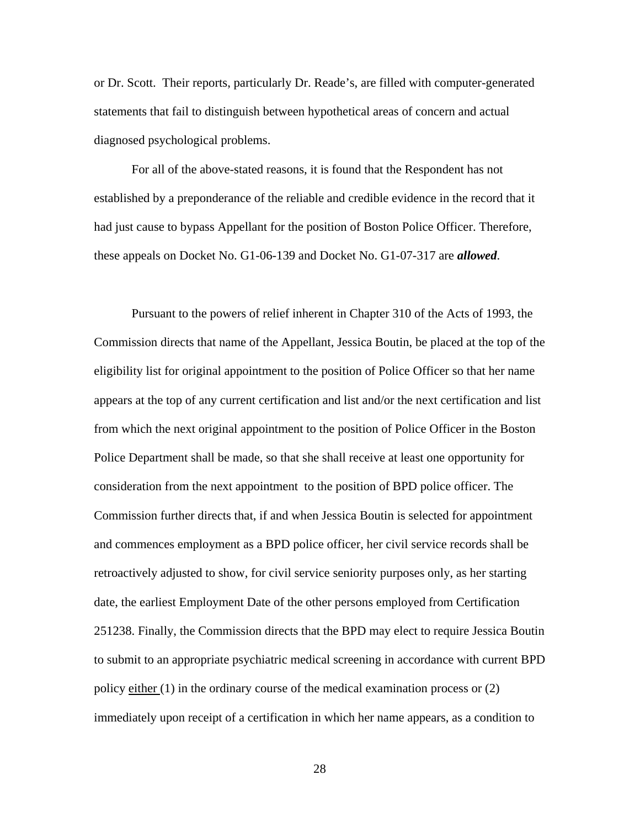or Dr. Scott. Their reports, particularly Dr. Reade's, are filled with computer-generated statements that fail to distinguish between hypothetical areas of concern and actual diagnosed psychological problems.

For all of the above-stated reasons, it is found that the Respondent has not established by a preponderance of the reliable and credible evidence in the record that it had just cause to bypass Appellant for the position of Boston Police Officer. Therefore, these appeals on Docket No. G1-06-139 and Docket No. G1-07-317 are *allowed*.

Pursuant to the powers of relief inherent in Chapter 310 of the Acts of 1993, the Commission directs that name of the Appellant, Jessica Boutin, be placed at the top of the eligibility list for original appointment to the position of Police Officer so that her name appears at the top of any current certification and list and/or the next certification and list from which the next original appointment to the position of Police Officer in the Boston Police Department shall be made, so that she shall receive at least one opportunity for consideration from the next appointment to the position of BPD police officer. The Commission further directs that, if and when Jessica Boutin is selected for appointment and commences employment as a BPD police officer, her civil service records shall be retroactively adjusted to show, for civil service seniority purposes only, as her starting date, the earliest Employment Date of the other persons employed from Certification 251238. Finally, the Commission directs that the BPD may elect to require Jessica Boutin to submit to an appropriate psychiatric medical screening in accordance with current BPD policy either (1) in the ordinary course of the medical examination process or (2) immediately upon receipt of a certification in which her name appears, as a condition to